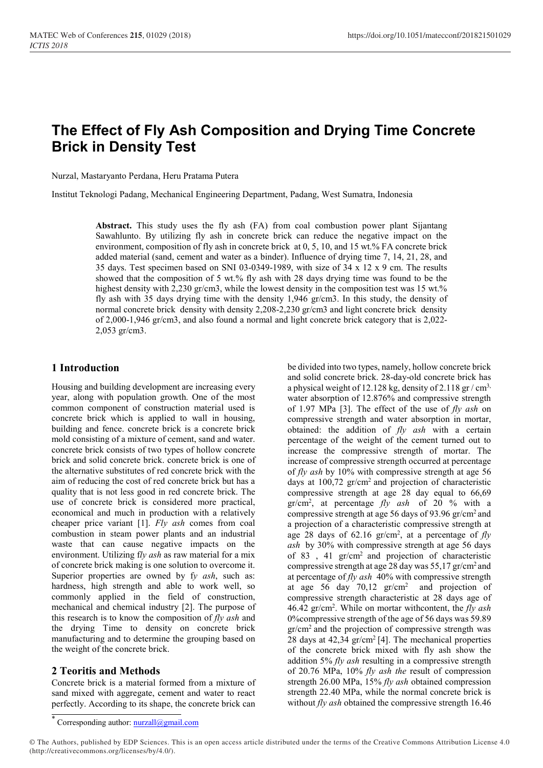# The Effect of Fly Ash Composition and Drying Time Concrete Brick in Density Test

Nurzal, Mastaryanto Perdana, Heru Pratama Putera

Institut Teknologi Padang, Mechanical Engineering Department, Padang, West Sumatra, Indonesia

Abstract. This study uses the fly ash (FA) from coal combustion power plant Sijantang Sawahlunto. By utilizing fly ash in concrete brick can reduce the negative impact on the environment, composition of fly ash in concrete brick at 0, 5, 10, and 15 wt.% FA concrete brick added material (sand, cement and water as a binder). Influence of drying time 7, 14, 21, 28, and 35 days. Test specimen based on SNI 03-0349-1989, with size of 34 x 12 x 9 cm. The results showed that the composition of 5 wt.% fly ash with 28 days drying time was found to be the highest density with 2,230 gr/cm3, while the lowest density in the composition test was 15 wt.% fly ash with 35 days drying time with the density 1,946 gr/cm3. In this study, the density of normal concrete brick density with density 2,208-2,230 gr/cm3 and light concrete brick density of 2,000-1,946 gr/cm3, and also found a normal and light concrete brick category that is 2,022- 2,053 gr/cm3.

## 1 Introduction

Housing and building development are increasing every year, along with population growth. One of the most common component of construction material used is concrete brick which is applied to wall in housing, building and fence. concrete brick is a concrete brick mold consisting of a mixture of cement, sand and water. concrete brick consists of two types of hollow concrete brick and solid concrete brick. concrete brick is one of the alternative substitutes of red concrete brick with the aim of reducing the cost of red concrete brick but has a quality that is not less good in red concrete brick. The use of concrete brick is considered more practical, economical and much in production with a relatively cheaper price variant [1]. Fly ash comes from coal combustion in steam power plants and an industrial waste that can cause negative impacts on the environment. Utilizing fly ash as raw material for a mix of concrete brick making is one solution to overcome it. Superior properties are owned by fy ash, such as: hardness, high strength and able to work well, so commonly applied in the field of construction, mechanical and chemical industry [2]. The purpose of this research is to know the composition of  $fly$  ash and the drying Time to density on concrete brick manufacturing and to determine the grouping based on the weight of the concrete brick.

## 2 Teoritis and Methods

Concrete brick is a material formed from a mixture of sand mixed with aggregate, cement and water to react perfectly. According to its shape, the concrete brick can

be divided into two types, namely, hollow concrete brick and solid concrete brick. 28-day-old concrete brick has a physical weight of 12.128 kg, density of 2.118 gr  $/cm<sup>3</sup>$ , water absorption of 12.876% and compressive strength of 1.97 MPa [3]. The effect of the use of  $fly$  ash on compressive strength and water absorption in mortar, obtained: the addition of  $fly$  ash with a certain percentage of the weight of the cement turned out to increase the compressive strength of mortar. The increase of compressive strength occurred at percentage of fly ash by 10% with compressive strength at age 56 days at 100,72 gr/cm<sup>2</sup> and projection of characteristic compressive strength at age 28 day equal to 66,69  $gr/cm^2$ , at percentage  $fly$  ash of 20 % with a compressive strength at age 56 days of 93.96  $gr/cm<sup>2</sup>$  and a projection of a characteristic compressive strength at age 28 days of 62.16  $gr/cm^2$ , at a percentage of  $fly$ ash by 30% with compressive strength at age 56 days of 83, 41 gr/cm<sup>2</sup> and projection of characteristic compressive strength at age 28 day was 55,17 gr/cm<sup>2</sup>and at percentage of  $fly$  ash 40% with compressive strength at age 56 day 70,12 gr/cm<sup>2</sup> and projection of compressive strength characteristic at 28 days age of 46.42 gr/cm<sup>2</sup>. While on mortar withcontent, the  $fly$  ash 0%compressive strength of the age of 56 days was 59.89  $gr/cm<sup>2</sup>$  and the projection of compressive strength was 28 days at  $42,34$  gr/cm<sup>2</sup>[4]. The mechanical properties of the concrete brick mixed with fly ash show the addition 5%  $fly$  ash resulting in a compressive strength of 20.76 MPa, 10% fly ash the result of compression strength 26.00 MPa, 15% fly ash obtained compression strength 22.40 MPa, while the normal concrete brick is without  $fly$  ash obtained the compressive strength 16.46

© The Authors, published by EDP Sciences. This is an open access article distributed under the terms of the Creative Commons Attribution License 4.0 (http://creativecommons.org/licenses/by/4.0/).

<sup>\*</sup> Corresponding author: nurzall@gmail.com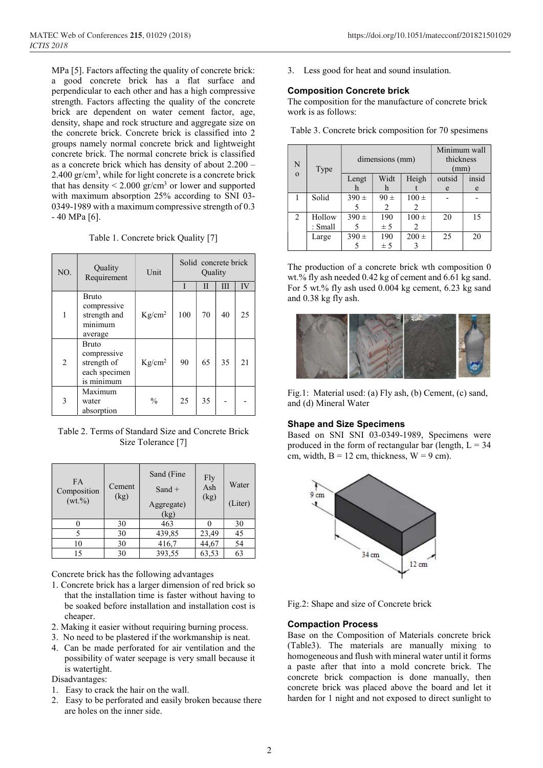MPa [5]. Factors affecting the quality of concrete brick: a good concrete brick has a flat surface and perpendicular to each other and has a high compressive strength. Factors affecting the quality of the concrete brick are dependent on water cement factor, age, density, shape and rock structure and aggregate size on the concrete brick. Concrete brick is classified into 2 groups namely normal concrete brick and lightweight concrete brick. The normal concrete brick is classified as a concrete brick which has density of about 2.200 – 2.400 gr/cm<sup>3</sup> , while for light concrete is a concrete brick that has density  $\leq 2.000$  gr/cm<sup>3</sup> or lower and supported with maximum absorption 25% according to SNI 03- 0349-1989 with a maximum compressive strength of 0.3 - 40 MPa [6].

Table 1. Concrete brick Quality [7]

| NO.            | Quality<br>Requirement                                             | Unit          | Solid concrete brick<br>Quality |    |    |    |
|----------------|--------------------------------------------------------------------|---------------|---------------------------------|----|----|----|
|                |                                                                    |               |                                 | Н  | Ш  | IV |
| 1              | <b>Bruto</b><br>compressive<br>strength and<br>minimum<br>average  | $Kg/cm^2$     | 100                             | 70 | 40 | 25 |
| $\overline{2}$ | Bruto<br>compressive<br>strength of<br>each specimen<br>is minimum | $Kg/cm^2$     | 90                              | 65 | 35 | 21 |
| 3              | Maximum<br>water<br>absorption                                     | $\frac{0}{0}$ | 25                              | 35 |    |    |

Table 2. Terms of Standard Size and Concrete Brick Size Tolerance [7]

| <b>FA</b><br>Composition<br>$(wt. \% )$ | Cement<br>(kg) | Sand (Fine<br>Fly<br>Ash<br>$Sand +$<br>(kg)<br>Aggregate)<br>(kg) |       | Water<br>(Liter) |
|-----------------------------------------|----------------|--------------------------------------------------------------------|-------|------------------|
|                                         | 30             | 463                                                                |       | 30               |
|                                         | 30             | 439,85                                                             | 23,49 | 45               |
| 10                                      | 30             | 416,7                                                              | 44,67 | 54               |
| 15                                      | 30             | 393,55                                                             | 63,53 | 63               |

Concrete brick has the following advantages

- 1. Concrete brick has a larger dimension of red brick so that the installation time is faster without having to be soaked before installation and installation cost is cheaper.
- 2. Making it easier without requiring burning process.
- 3. No need to be plastered if the workmanship is neat.
- 4. Can be made perforated for air ventilation and the possibility of water seepage is very small because it is watertight.

Disadvantages:

- 1. Easy to crack the hair on the wall.
- 2. Easy to be perforated and easily broken because there are holes on the inner side.

3. Less good for heat and sound insulation.

#### Composition Concrete brick

The composition for the manufacture of concrete brick work is as follows:

Table 3. Concrete brick composition for 70 spesimens

| N            | Type    | dimensions (mm) |          |           | Minimum wall<br>thickness<br>(mm) |       |
|--------------|---------|-----------------|----------|-----------|-----------------------------------|-------|
| $\mathbf{O}$ |         | Lengt           | Widt     | Heigh     | outsid                            | insid |
|              |         | h               | h        |           | e                                 | e     |
|              | Solid   | $390 \pm$       | $90 \pm$ | $100 \pm$ |                                   |       |
|              |         |                 | 2        | 2         |                                   |       |
| 2            | Hollow  | $390 \pm$       | 190      | $100 \pm$ | 20                                | 15    |
|              | : Small |                 | ± 5      |           |                                   |       |
|              | Large   | $390 \pm$       | 190      | $200 \pm$ | 25                                | 20    |
|              |         |                 | ± 5      |           |                                   |       |

The production of a concrete brick wth composition 0 wt.% fly ash needed 0.42 kg of cement and 6.61 kg sand. For 5 wt.% fly ash used 0.004 kg cement, 6.23 kg sand and 0.38 kg fly ash.



Fig.1: Material used: (a) Fly ash, (b) Cement, (c) sand, and (d) Mineral Water

#### Shape and Size Specimens

Based on SNI SNI 03-0349-1989, Specimens were produced in the form of rectangular bar (length,  $L = 34$ ) cm, width,  $B = 12$  cm, thickness,  $W = 9$  cm).



Fig.2: Shape and size of Concrete brick

#### Compaction Process

Base on the Composition of Materials concrete brick (Table3). The materials are manually mixing to homogeneous and flush with mineral water until it forms a paste after that into a mold concrete brick. The concrete brick compaction is done manually, then concrete brick was placed above the board and let it harden for 1 night and not exposed to direct sunlight to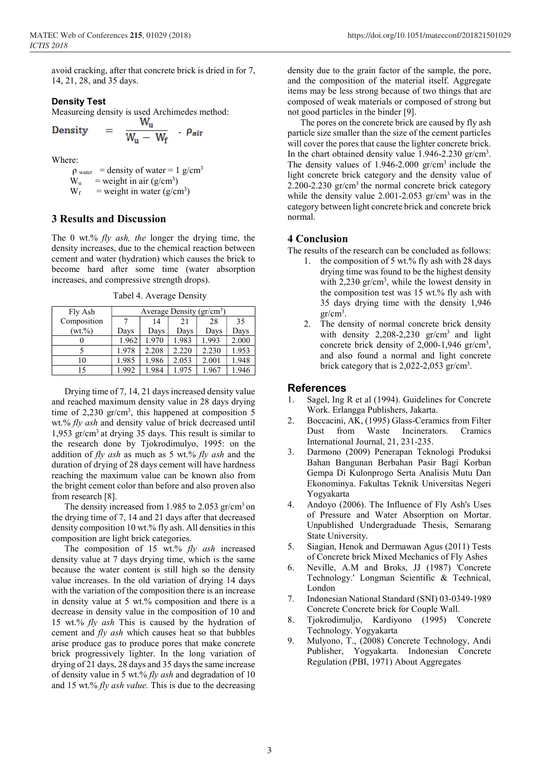avoid cracking, after that concrete brick is dried in for 7, 14, 21, 28, and 35 days.

 $-$  Pair

#### Density Test

Measureing density is used Archimedes method:<br>
Density =  $\frac{W_u}{W_u - W_f}$ . Pair

Density 
$$
=
$$
  $\bar{v}$ 

Where:

 $\rho_{\text{water}}$  = density of water = 1 g/cm<sup>3</sup>  $W_u$  = weight in air (g/cm<sup>3</sup>)  $W_f$  = weight in water (g/cm<sup>3</sup>)

## 3 Results and Discussion

The 0 wt.%  $fly$  ash, the longer the drying time, the density increases, due to the chemical reaction between cement and water (hydration) which causes the brick to become hard after some time (water absorption increases, and compressive strength drops).

Tabel 4. Average Density

| Fly Ash     | Average Density (gr/cm <sup>3</sup> ) |       |       |       |       |  |
|-------------|---------------------------------------|-------|-------|-------|-------|--|
| Composition |                                       | 14    | 21    | 28    | 35    |  |
| $(wt. \% )$ | Days                                  | Days  | Days  | Days  | Days  |  |
|             | 1.962                                 | 1.970 | 1.983 | 1.993 | 2.000 |  |
|             | 1.978                                 | 2.208 | 2.220 | 2.230 | 1.953 |  |
| 10          | 1.985                                 | 1.986 | 2.053 | 2.001 | 1.948 |  |
| 15          | 1.992                                 | 1.984 | 1.975 | 1.967 | 1.946 |  |

Drying time of 7, 14, 21 days increased density value and reached maximum density value in 28 days drying time of  $2,230$  gr/cm<sup>3</sup>, this happened at composition 5 wt.% fly ash and density value of brick decreased until 1,953 gr/cm<sup>3</sup>at drying 35 days. This result is similar to the research done by Tjokrodimulyo, 1995: on the addition of  $fly$  ash as much as 5 wt.%  $fly$  ash and the duration of drying of 28 days cement will have hardness reaching the maximum value can be known also from the bright cement color than before and also proven also from research [8].

The density increased from 1.985 to 2.053  $gr/cm<sup>3</sup>$  on the drying time of 7, 14 and 21 days after that decreased density composition 10 wt.% fly ash. All densities in this composition are light brick categories.

The composition of 15 wt.%  $fly$  ash increased density value at 7 days drying time, which is the same because the water content is still high so the density value increases. In the old variation of drying 14 days with the variation of the composition there is an increase in density value at 5 wt.% composition and there is a decrease in density value in the composition of 10 and 15 wt.% fly ash This is caused by the hydration of cement and fly ash which causes heat so that bubbles arise produce gas to produce pores that make concrete brick progressively lighter. In the long variation of drying of 21 days, 28 days and 35 days the same increase of density value in 5 wt.%  $fly$  ash and degradation of 10 and 15 wt.% fly ash value. This is due to the decreasing

density due to the grain factor of the sample, the pore, and the composition of the material itself. Aggregate items may be less strong because of two things that are composed of weak materials or composed of strong but not good particles in the binder [9].

The pores on the concrete brick are caused by fly ash particle size smaller than the size of the cement particles will cover the pores that cause the lighter concrete brick. In the chart obtained density value 1.946-2.230 gr/cm<sup>3</sup> . The density values of  $1.946$ -2.000 gr/cm<sup>3</sup> include the light concrete brick category and the density value of 2.200-2.230 gr/cm<sup>3</sup> the normal concrete brick category while the density value 2.001-2.053  $gr/cm<sup>3</sup>$  was in the category between light concrete brick and concrete brick normal.

## 4 Conclusion

The results of the research can be concluded as follows:

- 1. the composition of 5 wt.% fly ash with 28 days drying time was found to be the highest density with  $2,230$  gr/cm<sup>3</sup>, while the lowest density in the composition test was 15 wt.% fly ash with 35 days drying time with the density 1,946  $gr/cm^3$ .
- 2. The density of normal concrete brick density with density  $2,208-2,230$  gr/cm<sup>3</sup> and light concrete brick density of  $2,000-1,946$  gr/cm<sup>3</sup>, and also found a normal and light concrete brick category that is  $2,022-2,053$  gr/cm<sup>3</sup>.

### References

- 1. Sagel, Ing R et al (1994). Guidelines for Concrete Work. Erlangga Publishers, Jakarta.
- 2. Boccacini, AK, (1995) Glass-Ceramics from Filter Dust from Waste Incinerators. Cramics International Journal, 21, 231-235.
- 3. Darmono (2009) Penerapan Teknologi Produksi Bahan Bangunan Berbahan Pasir Bagi Korban Gempa Di Kulonprogo Serta Analisis Mutu Dan Ekonominya. Fakultas Teknik Universitas Negeri Yogyakarta
- 4. Andoyo (2006). The Influence of Fly Ash's Uses of Pressure and Water Absorption on Mortar. Unpublished Undergraduade Thesis, Semarang State University.
- 5. Siagian, Henok and Dermawan Agus (2011) Tests of Concrete brick Mixed Mechanics of Fly Ashes
- 6. Neville, A.M and Broks, JJ (1987) 'Concrete Technology.' Longman Scientific & Technical, London
- 7. Indonesian National Standard (SNI) 03-0349-1989 Concrete Concrete brick for Couple Wall.
- 8. Tjokrodimuljo, Kardiyono (1995) 'Concrete Technology. Yogyakarta
- 9. Mulyono, T., (2008) Concrete Technology, Andi Publisher, Yogyakarta. Indonesian Concrete Regulation (PBI, 1971) About Aggregates